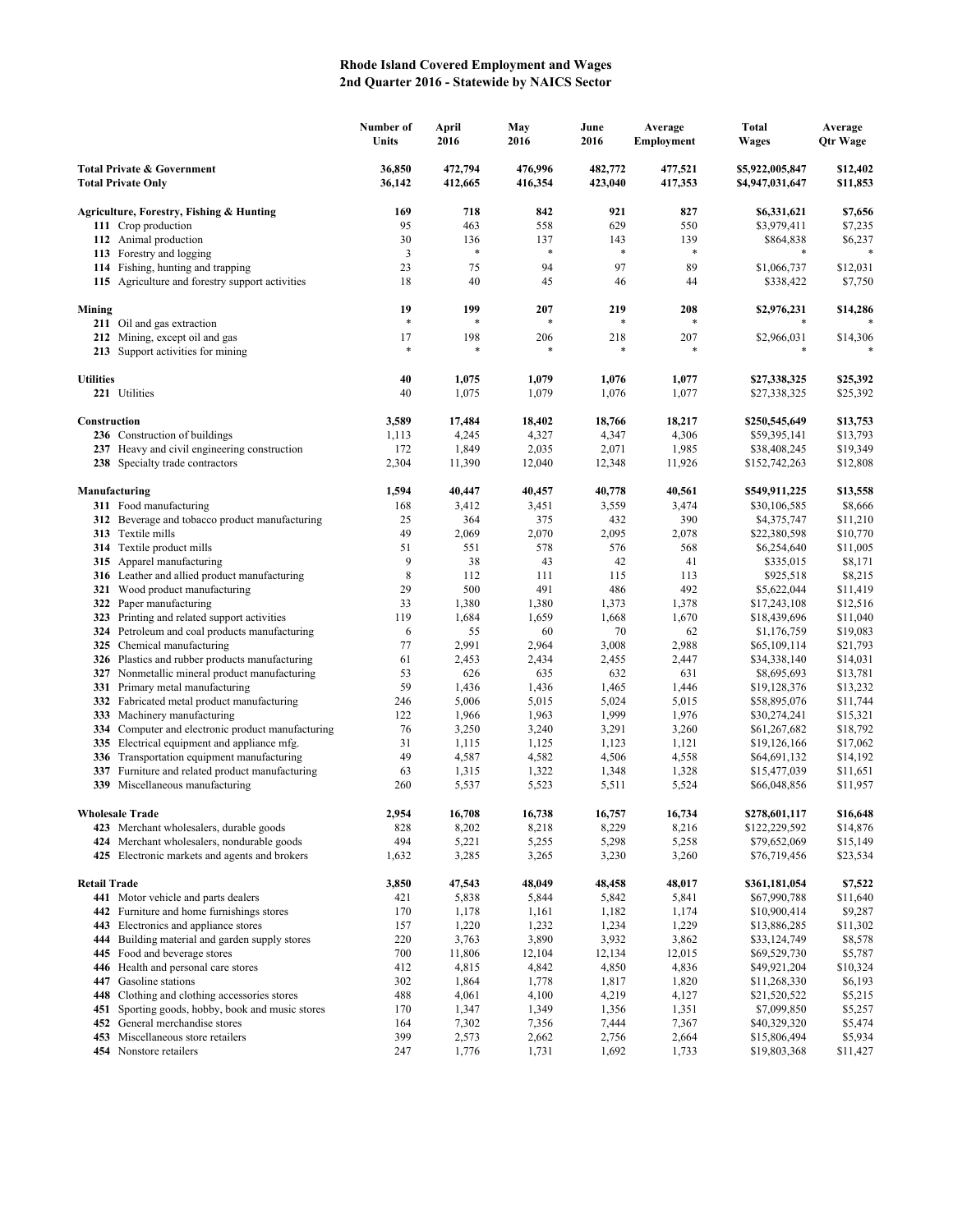## **Rhode Island Covered Employment and Wages 2nd Quarter 2016 - Statewide by NAICS Sector**

|                                                                    |                                                                                             | Number of<br>Units | April<br>2016      | May<br>2016        | June<br>2016       | Average<br>Employment | <b>Total</b><br>Wages              | Average<br><b>Qtr Wage</b> |
|--------------------------------------------------------------------|---------------------------------------------------------------------------------------------|--------------------|--------------------|--------------------|--------------------|-----------------------|------------------------------------|----------------------------|
| <b>Total Private &amp; Government</b><br><b>Total Private Only</b> |                                                                                             | 36,850<br>36,142   | 472,794<br>412,665 | 476,996<br>416,354 | 482,772<br>423,040 | 477,521<br>417,353    | \$5,922,005,847<br>\$4,947,031,647 | \$12,402<br>\$11,853       |
|                                                                    | Agriculture, Forestry, Fishing & Hunting                                                    | 169                | 718                | 842                | 921                | 827                   | \$6,331,621                        | \$7,656                    |
|                                                                    | 111 Crop production                                                                         | 95                 | 463                | 558                | 629                | 550                   | \$3,979,411                        | \$7,235                    |
|                                                                    | 112 Animal production                                                                       | 30                 | 136                | 137                | 143                | 139                   | \$864,838                          | \$6,237                    |
|                                                                    | 113 Forestry and logging                                                                    | 3                  | $\ast$             | $\ast$             | $\ast$             | $\ast$                | *                                  |                            |
|                                                                    | 114 Fishing, hunting and trapping                                                           | 23                 | 75                 | 94                 | 97                 | 89                    | \$1,066,737                        | \$12,031                   |
|                                                                    | 115 Agriculture and forestry support activities                                             | 18                 | 40                 | 45                 | 46                 | 44                    | \$338,422                          | \$7,750                    |
| Mining                                                             |                                                                                             | 19                 | 199                | 207                | 219                | 208                   | \$2,976,231                        | \$14,286                   |
|                                                                    | 211 Oil and gas extraction                                                                  | *                  |                    |                    |                    |                       |                                    |                            |
|                                                                    | 212 Mining, except oil and gas<br>213 Support activities for mining                         | 17<br>$\ast$       | 198<br>*           | 206                | 218<br>$\ast$      | 207                   | \$2,966,031<br>*                   | \$14,306                   |
| <b>Utilities</b>                                                   |                                                                                             | 40                 | 1,075              | 1,079              | 1,076              | 1,077                 | \$27,338,325                       | \$25,392                   |
|                                                                    | 221 Utilities                                                                               | 40                 | 1,075              | 1,079              | 1,076              | 1,077                 | \$27,338,325                       | \$25,392                   |
| Construction                                                       |                                                                                             | 3,589              | 17,484             | 18,402             | 18,766             | 18,217                | \$250,545,649                      | \$13,753                   |
|                                                                    | 236 Construction of buildings                                                               | 1,113              | 4,245              | 4,327              | 4,347              | 4,306                 | \$59,395,141                       | \$13,793                   |
|                                                                    | 237 Heavy and civil engineering construction                                                | 172                | 1,849              | 2,035              | 2,071              | 1,985                 | \$38,408,245                       | \$19,349                   |
|                                                                    | 238 Specialty trade contractors                                                             | 2,304              | 11,390             | 12,040             | 12,348             | 11,926                | \$152,742,263                      | \$12,808                   |
|                                                                    | Manufacturing                                                                               | 1,594              | 40,447             | 40,457             | 40,778             | 40,561                | \$549,911,225                      | \$13,558                   |
|                                                                    | 311 Food manufacturing                                                                      | 168                | 3,412              | 3,451              | 3,559              | 3,474                 | \$30,106,585                       | \$8,666                    |
|                                                                    | 312 Beverage and tobacco product manufacturing                                              | 25                 | 364                | 375                | 432                | 390                   | \$4,375,747                        | \$11,210                   |
|                                                                    | 313 Textile mills                                                                           | 49                 | 2,069              | 2,070              | 2,095              | 2,078                 | \$22,380,598                       | \$10,770                   |
|                                                                    | <b>314</b> Textile product mills                                                            | 51                 | 551                | 578                | 576                | 568                   | \$6,254,640                        | \$11,005                   |
|                                                                    | 315 Apparel manufacturing                                                                   | 9                  | 38                 | 43                 | 42                 | 41                    | \$335,015                          | \$8,171                    |
|                                                                    | 316 Leather and allied product manufacturing                                                | 8                  | 112                | 111                | 115                | 113                   | \$925,518                          | \$8,215                    |
|                                                                    | 321 Wood product manufacturing                                                              | 29<br>33           | 500                | 491                | 486                | 492                   | \$5,622,044                        | \$11,419                   |
| 322<br>323                                                         | Paper manufacturing<br>Printing and related support activities                              | 119                | 1,380<br>1,684     | 1,380<br>1,659     | 1,373<br>1,668     | 1,378<br>1,670        | \$17,243,108<br>\$18,439,696       | \$12,516<br>\$11,040       |
|                                                                    | 324 Petroleum and coal products manufacturing                                               | 6                  | 55                 | 60                 | 70                 | 62                    | \$1,176,759                        | \$19,083                   |
|                                                                    | 325 Chemical manufacturing                                                                  | 77                 | 2,991              | 2,964              | 3,008              | 2,988                 | \$65,109,114                       | \$21,793                   |
|                                                                    | 326 Plastics and rubber products manufacturing                                              | 61                 | 2,453              | 2,434              | 2,455              | 2,447                 | \$34,338,140                       | \$14,031                   |
|                                                                    | 327 Nonmetallic mineral product manufacturing                                               | 53                 | 626                | 635                | 632                | 631                   | \$8,695,693                        | \$13,781                   |
|                                                                    | 331 Primary metal manufacturing                                                             | 59                 | 1,436              | 1,436              | 1,465              | 1,446                 | \$19,128,376                       | \$13,232                   |
|                                                                    | 332 Fabricated metal product manufacturing                                                  | 246                | 5,006              | 5,015              | 5,024              | 5,015                 | \$58,895,076                       | \$11,744                   |
| 333                                                                | Machinery manufacturing                                                                     | 122                | 1,966              | 1,963              | 1,999              | 1,976                 | \$30,274,241                       | \$15,321                   |
| 334                                                                | Computer and electronic product manufacturing                                               | 76                 | 3,250              | 3,240              | 3,291              | 3,260                 | \$61,267,682                       | \$18,792                   |
|                                                                    | 335 Electrical equipment and appliance mfg.                                                 | 31                 | 1,115              | 1,125              | 1,123              | 1,121                 | \$19,126,166                       | \$17,062                   |
|                                                                    | 336 Transportation equipment manufacturing                                                  | 49                 | 4,587              | 4,582              | 4,506              | 4,558                 | \$64,691,132                       | \$14,192                   |
| 337                                                                | Furniture and related product manufacturing                                                 | 63                 | 1,315              | 1,322              | 1,348              | 1,328                 | \$15,477,039                       | \$11,651                   |
|                                                                    | 339 Miscellaneous manufacturing                                                             | 260                | 5,537              | 5,523              | 5,511              | 5,524                 | \$66,048,856                       | \$11,957                   |
|                                                                    | <b>Wholesale Trade</b>                                                                      | 2.954              | 16,708             | 16,738             | 16,757             | 16,734                | \$278,601,117                      | \$16,648                   |
|                                                                    | 423 Merchant wholesalers, durable goods                                                     | 828<br>494         | 8,202<br>5,221     | 8,218              | 8,229<br>5,298     | 8,216<br>5,258        | \$122,229,592                      | \$14,876                   |
|                                                                    | 424 Merchant wholesalers, nondurable goods<br>425 Electronic markets and agents and brokers | 1,632              | 3,285              | 5,255<br>3,265     | 3,230              | 3,260                 | \$79,652,069<br>\$76,719,456       | \$15,149<br>\$23,534       |
| <b>Retail Trade</b>                                                |                                                                                             | 3,850              | 47,543             | 48,049             | 48,458             | 48,017                | \$361,181,054                      | \$7,522                    |
|                                                                    | 441 Motor vehicle and parts dealers                                                         | 421                | 5,838              | 5,844              | 5,842              | 5,841                 | \$67,990,788                       | \$11,640                   |
|                                                                    | 442 Furniture and home furnishings stores                                                   | 170                | 1,178              | 1,161              | 1,182              | 1,174                 | \$10,900,414                       | \$9,287                    |
|                                                                    | 443 Electronics and appliance stores                                                        | 157                | 1,220              | 1,232              | 1,234              | 1,229                 | \$13,886,285                       | \$11,302                   |
|                                                                    | 444 Building material and garden supply stores                                              | 220                | 3,763              | 3,890              | 3,932              | 3,862                 | \$33,124,749                       | \$8,578                    |
|                                                                    | 445 Food and beverage stores                                                                | 700                | 11,806             | 12,104             | 12,134             | 12,015                | \$69,529,730                       | \$5,787                    |
|                                                                    | 446 Health and personal care stores                                                         | 412                | 4,815              | 4,842              | 4,850              | 4,836                 | \$49,921,204                       | \$10,324                   |
|                                                                    | 447 Gasoline stations                                                                       | 302                | 1,864              | 1,778              | 1,817              | 1,820                 | \$11,268,330                       | \$6,193                    |
|                                                                    | 448 Clothing and clothing accessories stores                                                | 488                | 4,061              | 4,100              | 4,219              | 4,127                 | \$21,520,522                       | \$5,215                    |
| 451                                                                | Sporting goods, hobby, book and music stores                                                | 170                | 1,347              | 1,349              | 1,356              | 1,351                 | \$7,099,850                        | \$5,257                    |
| 452                                                                | General merchandise stores                                                                  | 164                | 7,302              | 7,356              | 7,444              | 7,367                 | \$40,329,320                       | \$5,474                    |
|                                                                    | 453 Miscellaneous store retailers<br>454 Nonstore retailers                                 | 399<br>247         | 2,573<br>1,776     | 2,662<br>1,731     | 2,756<br>1,692     | 2,664<br>1,733        | \$15,806,494<br>\$19,803,368       | \$5,934<br>\$11,427        |
|                                                                    |                                                                                             |                    |                    |                    |                    |                       |                                    |                            |